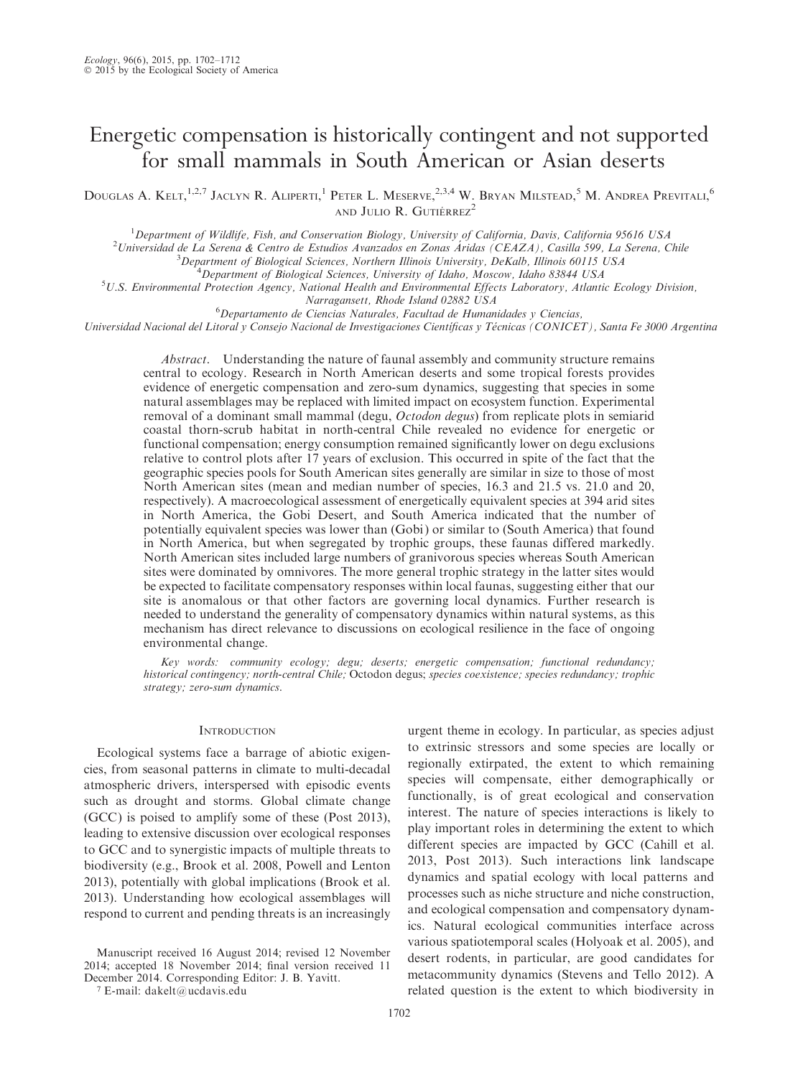# Energetic compensation is historically contingent and not supported for small mammals in South American or Asian deserts

DOUGLAS A. KELT,<sup>1,2,7</sup> JACLYN R. ALIPERTI,<sup>1</sup> PETER L. MESERVE,<sup>2,3,4</sup> W. BRYAN MILSTEAD,<sup>5</sup> M. ANDREA PREVITALI,<sup>6</sup> AND JULIO R. GUTIÉRREZ<sup>2</sup>

<sup>1</sup>Department of Wildlife, Fish, and Conservation Biology, University of California, Davis, California 95616 USA<br><sup>2</sup>Universidad de La Sergna & Contre de Estudios Avanzados en Zonas Áridas (CEAZA), Casilla 500, La Sergna, C

Universidad de La Serena & Centro de Estudios Avanzados en Zonas Áridas (CEAZA), Casilla 599, La Serena, Chile<br><sup>3</sup> Department of Biological Sciences, Northern Illinois University, DeKalb, Illinois 60115 USA

 $B^3$ Department of Biological Sciences, Northern Illinois University, DeKalb, Illinois 60115 USA

 $^4$ Department of Biological Sciences, University of Idaho, Moscow, Idaho 83844 USA

 $U.S.$  Environmental Protection Agency, National Health and Environmental Effects Laboratory, Atlantic Ecology Division,

Narragansett, Rhode Island 02882 USA<br><sup>6</sup>Departamento de Ciencias Naturales, Facultad de Humanidades y Ciencias,

Universidad Nacional del Litoral y Consejo Nacional de Investigaciones Científicas y Técnicas (CONICET), Santa Fe 3000 Argentina

Abstract. Understanding the nature of faunal assembly and community structure remains central to ecology. Research in North American deserts and some tropical forests provides evidence of energetic compensation and zero-sum dynamics, suggesting that species in some natural assemblages may be replaced with limited impact on ecosystem function. Experimental removal of a dominant small mammal (degu, Octodon degus) from replicate plots in semiarid coastal thorn-scrub habitat in north-central Chile revealed no evidence for energetic or functional compensation; energy consumption remained significantly lower on degu exclusions relative to control plots after 17 years of exclusion. This occurred in spite of the fact that the geographic species pools for South American sites generally are similar in size to those of most North American sites (mean and median number of species, 16.3 and 21.5 vs. 21.0 and 20, respectively). A macroecological assessment of energetically equivalent species at 394 arid sites in North America, the Gobi Desert, and South America indicated that the number of potentially equivalent species was lower than (Gobi ) or similar to (South America) that found in North America, but when segregated by trophic groups, these faunas differed markedly. North American sites included large numbers of granivorous species whereas South American sites were dominated by omnivores. The more general trophic strategy in the latter sites would be expected to facilitate compensatory responses within local faunas, suggesting either that our site is anomalous or that other factors are governing local dynamics. Further research is needed to understand the generality of compensatory dynamics within natural systems, as this mechanism has direct relevance to discussions on ecological resilience in the face of ongoing environmental change.

Key words: community ecology; degu; deserts; energetic compensation; functional redundancy; historical contingency; north-central Chile; Octodon degus; species coexistence; species redundancy; trophic strategy; zero-sum dynamics.

### **INTRODUCTION**

Ecological systems face a barrage of abiotic exigencies, from seasonal patterns in climate to multi-decadal atmospheric drivers, interspersed with episodic events such as drought and storms. Global climate change (GCC) is poised to amplify some of these (Post 2013), leading to extensive discussion over ecological responses to GCC and to synergistic impacts of multiple threats to biodiversity (e.g., Brook et al. 2008, Powell and Lenton 2013), potentially with global implications (Brook et al. 2013). Understanding how ecological assemblages will respond to current and pending threats is an increasingly

Manuscript received 16 August 2014; revised 12 November 2014; accepted 18 November 2014; final version received 11 December 2014. Corresponding Editor: J. B. Yavitt.

<sup>7</sup> E-mail: dakelt@ucdavis.edu

urgent theme in ecology. In particular, as species adjust to extrinsic stressors and some species are locally or regionally extirpated, the extent to which remaining species will compensate, either demographically or functionally, is of great ecological and conservation interest. The nature of species interactions is likely to play important roles in determining the extent to which different species are impacted by GCC (Cahill et al. 2013, Post 2013). Such interactions link landscape dynamics and spatial ecology with local patterns and processes such as niche structure and niche construction, and ecological compensation and compensatory dynamics. Natural ecological communities interface across various spatiotemporal scales (Holyoak et al. 2005), and desert rodents, in particular, are good candidates for metacommunity dynamics (Stevens and Tello 2012). A related question is the extent to which biodiversity in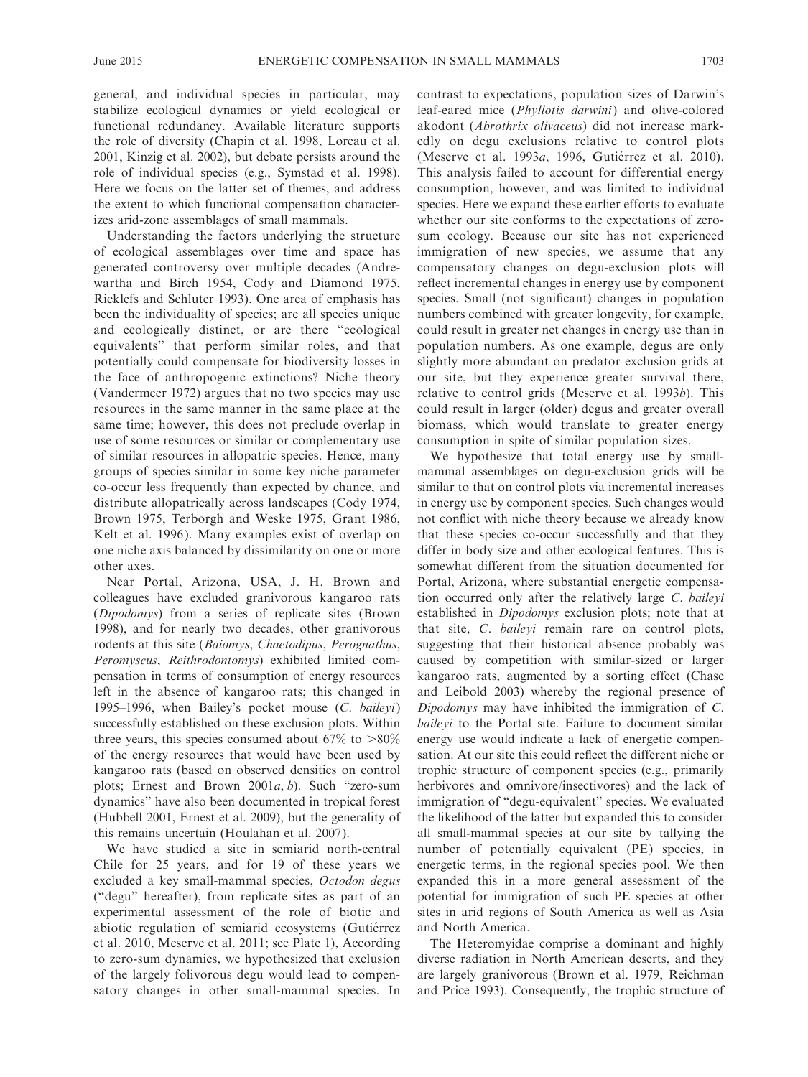general, and individual species in particular, may stabilize ecological dynamics or yield ecological or functional redundancy. Available literature supports the role of diversity (Chapin et al. 1998, Loreau et al. 2001, Kinzig et al. 2002), but debate persists around the role of individual species (e.g., Symstad et al. 1998). Here we focus on the latter set of themes, and address the extent to which functional compensation characterizes arid-zone assemblages of small mammals.

Understanding the factors underlying the structure of ecological assemblages over time and space has generated controversy over multiple decades (Andrewartha and Birch 1954, Cody and Diamond 1975, Ricklefs and Schluter 1993). One area of emphasis has been the individuality of species; are all species unique and ecologically distinct, or are there ''ecological equivalents'' that perform similar roles, and that potentially could compensate for biodiversity losses in the face of anthropogenic extinctions? Niche theory (Vandermeer 1972) argues that no two species may use resources in the same manner in the same place at the same time; however, this does not preclude overlap in use of some resources or similar or complementary use of similar resources in allopatric species. Hence, many groups of species similar in some key niche parameter co-occur less frequently than expected by chance, and distribute allopatrically across landscapes (Cody 1974, Brown 1975, Terborgh and Weske 1975, Grant 1986, Kelt et al. 1996). Many examples exist of overlap on one niche axis balanced by dissimilarity on one or more other axes.

Near Portal, Arizona, USA, J. H. Brown and colleagues have excluded granivorous kangaroo rats (Dipodomys) from a series of replicate sites (Brown 1998), and for nearly two decades, other granivorous rodents at this site (Baiomys, Chaetodipus, Perognathus, Peromyscus, Reithrodontomys) exhibited limited compensation in terms of consumption of energy resources left in the absence of kangaroo rats; this changed in 1995–1996, when Bailey's pocket mouse  $(C.$  baileyi) successfully established on these exclusion plots. Within three years, this species consumed about  $67\%$  to  $>80\%$ of the energy resources that would have been used by kangaroo rats (based on observed densities on control plots; Ernest and Brown 2001a, b). Such ''zero-sum dynamics'' have also been documented in tropical forest (Hubbell 2001, Ernest et al. 2009), but the generality of this remains uncertain (Houlahan et al. 2007).

We have studied a site in semiarid north-central Chile for 25 years, and for 19 of these years we excluded a key small-mammal species, Octodon degus (''degu'' hereafter), from replicate sites as part of an experimental assessment of the role of biotic and abiotic regulation of semiarid ecosystems (Gutiérrez et al. 2010, Meserve et al. 2011; see Plate 1), According to zero-sum dynamics, we hypothesized that exclusion of the largely folivorous degu would lead to compensatory changes in other small-mammal species. In contrast to expectations, population sizes of Darwin's leaf-eared mice (Phyllotis darwini) and olive-colored akodont (Abrothrix olivaceus) did not increase markedly on degu exclusions relative to control plots (Meserve et al. 1993a, 1996, Gutiérrez et al. 2010). This analysis failed to account for differential energy consumption, however, and was limited to individual species. Here we expand these earlier efforts to evaluate whether our site conforms to the expectations of zerosum ecology. Because our site has not experienced immigration of new species, we assume that any compensatory changes on degu-exclusion plots will reflect incremental changes in energy use by component species. Small (not significant) changes in population numbers combined with greater longevity, for example, could result in greater net changes in energy use than in population numbers. As one example, degus are only slightly more abundant on predator exclusion grids at our site, but they experience greater survival there, relative to control grids (Meserve et al. 1993b). This could result in larger (older) degus and greater overall biomass, which would translate to greater energy consumption in spite of similar population sizes.

We hypothesize that total energy use by smallmammal assemblages on degu-exclusion grids will be similar to that on control plots via incremental increases in energy use by component species. Such changes would not conflict with niche theory because we already know that these species co-occur successfully and that they differ in body size and other ecological features. This is somewhat different from the situation documented for Portal, Arizona, where substantial energetic compensation occurred only after the relatively large C. baileyi established in Dipodomys exclusion plots; note that at that site, C. baileyi remain rare on control plots, suggesting that their historical absence probably was caused by competition with similar-sized or larger kangaroo rats, augmented by a sorting effect (Chase and Leibold 2003) whereby the regional presence of Dipodomys may have inhibited the immigration of C. baileyi to the Portal site. Failure to document similar energy use would indicate a lack of energetic compensation. At our site this could reflect the different niche or trophic structure of component species (e.g., primarily herbivores and omnivore/insectivores) and the lack of immigration of ''degu-equivalent'' species. We evaluated the likelihood of the latter but expanded this to consider all small-mammal species at our site by tallying the number of potentially equivalent (PE) species, in energetic terms, in the regional species pool. We then expanded this in a more general assessment of the potential for immigration of such PE species at other sites in arid regions of South America as well as Asia and North America.

The Heteromyidae comprise a dominant and highly diverse radiation in North American deserts, and they are largely granivorous (Brown et al. 1979, Reichman and Price 1993). Consequently, the trophic structure of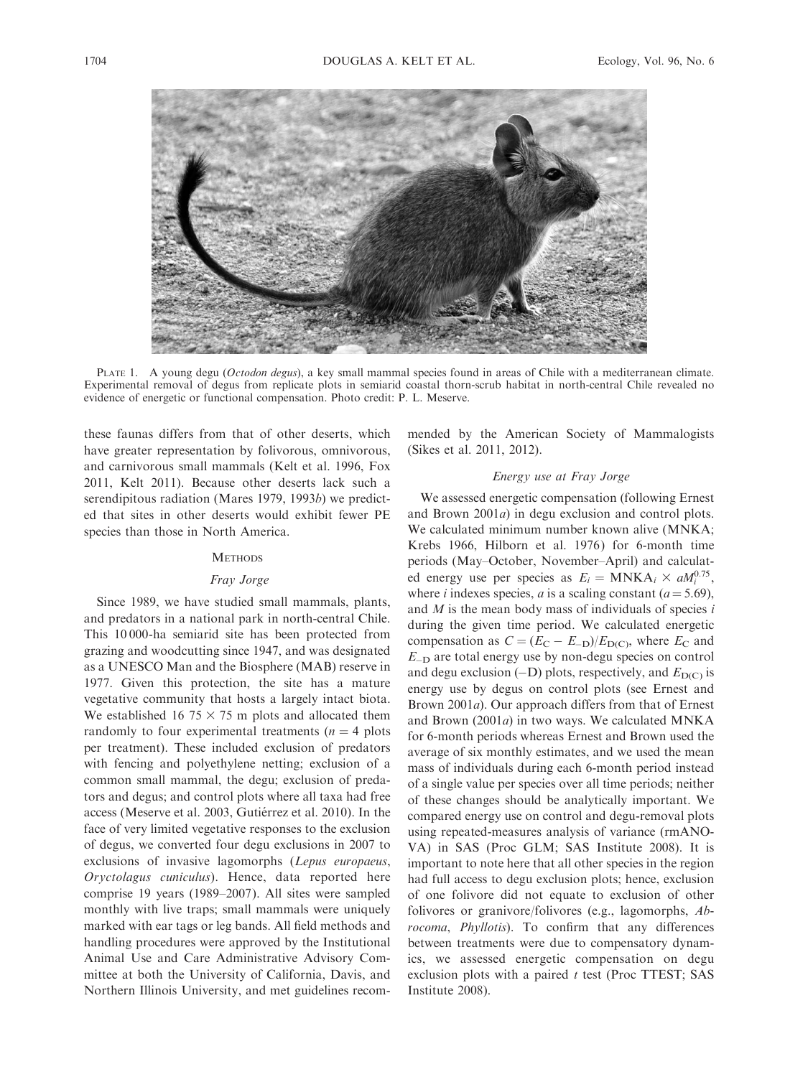

PLATE 1. A young degu (Octodon degus), a key small mammal species found in areas of Chile with a mediterranean climate. Experimental removal of degus from replicate plots in semiarid coastal thorn-scrub habitat in north-central Chile revealed no evidence of energetic or functional compensation. Photo credit: P. L. Meserve.

these faunas differs from that of other deserts, which have greater representation by folivorous, omnivorous, and carnivorous small mammals (Kelt et al. 1996, Fox 2011, Kelt 2011). Because other deserts lack such a serendipitous radiation (Mares 1979, 1993b) we predicted that sites in other deserts would exhibit fewer PE species than those in North America.

### **METHODS**

# Fray Jorge

Since 1989, we have studied small mammals, plants, and predators in a national park in north-central Chile. This 10 000-ha semiarid site has been protected from grazing and woodcutting since 1947, and was designated as a UNESCO Man and the Biosphere (MAB) reserve in 1977. Given this protection, the site has a mature vegetative community that hosts a largely intact biota. We established 16 75  $\times$  75 m plots and allocated them randomly to four experimental treatments ( $n = 4$  plots per treatment). These included exclusion of predators with fencing and polyethylene netting; exclusion of a common small mammal, the degu; exclusion of predators and degus; and control plots where all taxa had free access (Meserve et al. 2003, Gutiérrez et al. 2010). In the face of very limited vegetative responses to the exclusion of degus, we converted four degu exclusions in 2007 to exclusions of invasive lagomorphs (Lepus europaeus, Oryctolagus cuniculus). Hence, data reported here comprise 19 years (1989–2007). All sites were sampled monthly with live traps; small mammals were uniquely marked with ear tags or leg bands. All field methods and handling procedures were approved by the Institutional Animal Use and Care Administrative Advisory Committee at both the University of California, Davis, and Northern Illinois University, and met guidelines recommended by the American Society of Mammalogists (Sikes et al. 2011, 2012).

# Energy use at Fray Jorge

We assessed energetic compensation (following Ernest and Brown 2001a) in degu exclusion and control plots. We calculated minimum number known alive (MNKA; Krebs 1966, Hilborn et al. 1976) for 6-month time periods (May–October, November–April) and calculated energy use per species as  $E_i = \text{MNKA}_i \times \text{aM}_i^{0.75}$ , where *i* indexes species, *a* is a scaling constant ( $a = 5.69$ ), and  $M$  is the mean body mass of individuals of species  $i$ during the given time period. We calculated energetic compensation as  $C = (E_C - E_{-D})/E_{D(C)}$ , where  $E_C$  and E-<sup>D</sup> are total energy use by non-degu species on control and degu exclusion  $(-D)$  plots, respectively, and  $E_{D(C)}$  is energy use by degus on control plots (see Ernest and Brown 2001a). Our approach differs from that of Ernest and Brown  $(2001a)$  in two ways. We calculated MNKA for 6-month periods whereas Ernest and Brown used the average of six monthly estimates, and we used the mean mass of individuals during each 6-month period instead of a single value per species over all time periods; neither of these changes should be analytically important. We compared energy use on control and degu-removal plots using repeated-measures analysis of variance (rmANO-VA) in SAS (Proc GLM; SAS Institute 2008). It is important to note here that all other species in the region had full access to degu exclusion plots; hence, exclusion of one folivore did not equate to exclusion of other folivores or granivore/folivores (e.g., lagomorphs, Abrocoma, Phyllotis). To confirm that any differences between treatments were due to compensatory dynamics, we assessed energetic compensation on degu exclusion plots with a paired  $t$  test (Proc TTEST; SAS Institute 2008).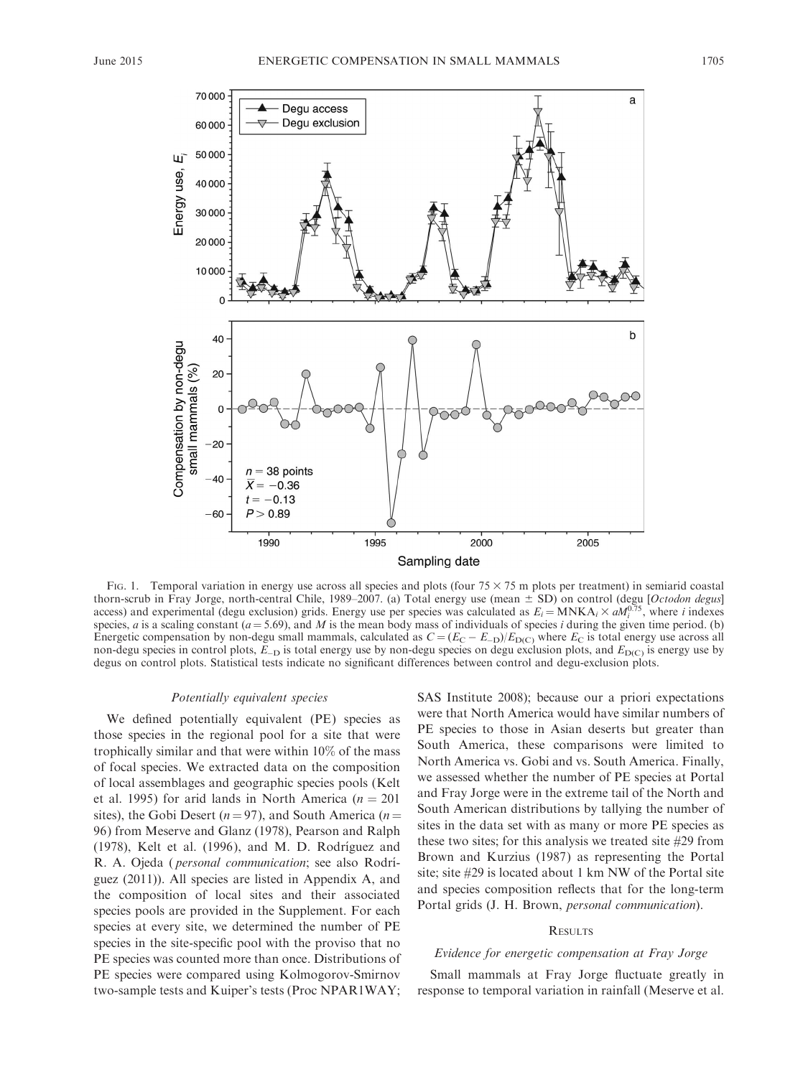

FIG. 1. Temporal variation in energy use across all species and plots (four  $75 \times 75$  m plots per treatment) in semiarid coastal thorn-scrub in Fray Jorge, north-central Chile, 1989–2007. (a) Total energy use (mean  $\pm$  SD) on control (degu [Octodon degus] access) and experimental (degu exclusion) grids. Energy use per species was calculated as  $E_i = \text{MNKA}_i \times \text{aM}_i^{0.75}$ , where i indexes species, *a* is a scaling constant ( $a = 5.69$ ), and *M* is the mean body mass of individuals of species *i* during the given time period. (b) Energetic compensation by non-degu small mammals, calculated as  $C = (E_C - E_{-D})/E_{D(C)}$  where  $E_C$  is total energy use across all non-degu species in control plots,  $E_{-D}$  is total energy use by non-degu species on degu exclusion plots, and  $E_{D(C)}$  is energy use by degus on control plots. Statistical tests indicate no significant differences between control and degu-exclusion plots.

# Potentially equivalent species

We defined potentially equivalent (PE) species as those species in the regional pool for a site that were trophically similar and that were within 10% of the mass of focal species. We extracted data on the composition of local assemblages and geographic species pools (Kelt et al. 1995) for arid lands in North America ( $n = 201$ sites), the Gobi Desert ( $n = 97$ ), and South America ( $n =$ 96) from Meserve and Glanz (1978), Pearson and Ralph (1978), Kelt et al. (1996), and M. D. Rodríguez and R. A. Ojeda (*personal communication*; see also Rodríguez (2011)). All species are listed in Appendix A, and the composition of local sites and their associated species pools are provided in the Supplement. For each species at every site, we determined the number of PE species in the site-specific pool with the proviso that no PE species was counted more than once. Distributions of PE species were compared using Kolmogorov-Smirnov two-sample tests and Kuiper's tests (Proc NPAR1WAY; SAS Institute 2008); because our a priori expectations were that North America would have similar numbers of PE species to those in Asian deserts but greater than South America, these comparisons were limited to North America vs. Gobi and vs. South America. Finally, we assessed whether the number of PE species at Portal and Fray Jorge were in the extreme tail of the North and South American distributions by tallying the number of sites in the data set with as many or more PE species as these two sites; for this analysis we treated site #29 from Brown and Kurzius (1987) as representing the Portal site; site #29 is located about 1 km NW of the Portal site and species composition reflects that for the long-term Portal grids (J. H. Brown, personal communication).

# **RESULTS**

# Evidence for energetic compensation at Fray Jorge

Small mammals at Fray Jorge fluctuate greatly in response to temporal variation in rainfall (Meserve et al.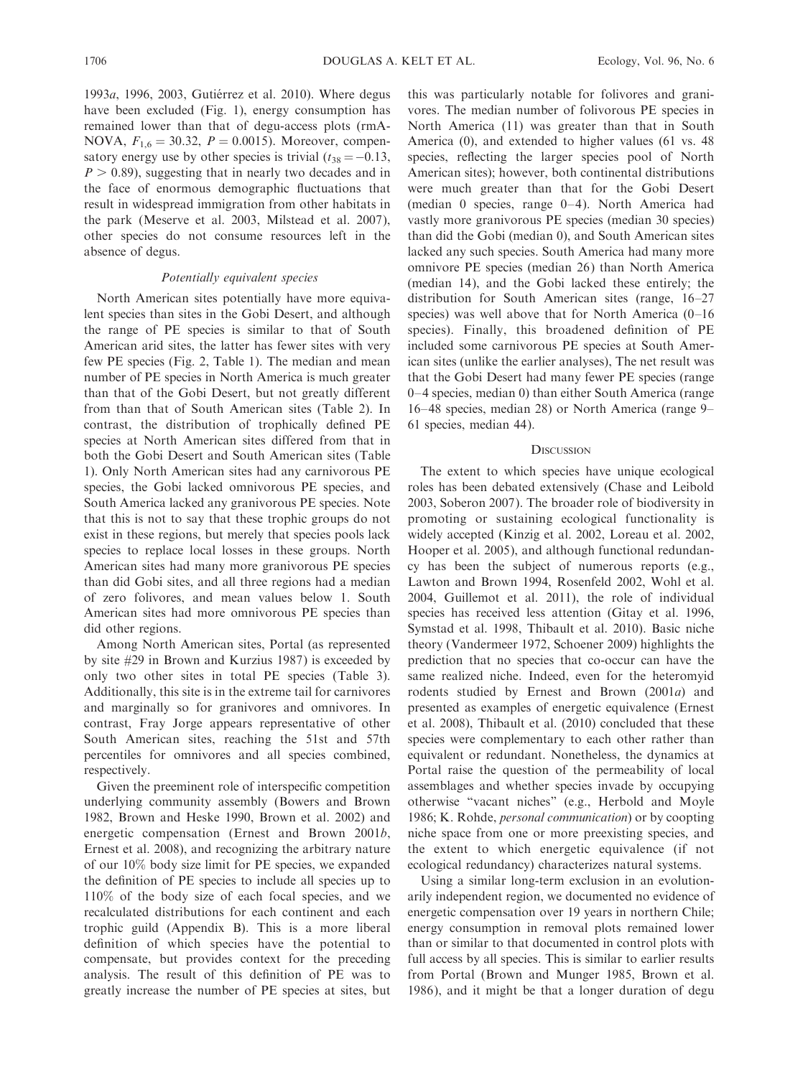1993a, 1996, 2003, Gutiérrez et al. 2010). Where degus have been excluded (Fig. 1), energy consumption has remained lower than that of degu-access plots (rmA-NOVA,  $F_{1,6} = 30.32$ ,  $P = 0.0015$ ). Moreover, compensatory energy use by other species is trivial  $(t_{38} = -0.13,$  $P > 0.89$ ), suggesting that in nearly two decades and in the face of enormous demographic fluctuations that result in widespread immigration from other habitats in the park (Meserve et al. 2003, Milstead et al. 2007), other species do not consume resources left in the absence of degus.

# Potentially equivalent species

North American sites potentially have more equivalent species than sites in the Gobi Desert, and although the range of PE species is similar to that of South American arid sites, the latter has fewer sites with very few PE species (Fig. 2, Table 1). The median and mean number of PE species in North America is much greater than that of the Gobi Desert, but not greatly different from than that of South American sites (Table 2). In contrast, the distribution of trophically defined PE species at North American sites differed from that in both the Gobi Desert and South American sites (Table 1). Only North American sites had any carnivorous PE species, the Gobi lacked omnivorous PE species, and South America lacked any granivorous PE species. Note that this is not to say that these trophic groups do not exist in these regions, but merely that species pools lack species to replace local losses in these groups. North American sites had many more granivorous PE species than did Gobi sites, and all three regions had a median of zero folivores, and mean values below 1. South American sites had more omnivorous PE species than did other regions.

Among North American sites, Portal (as represented by site #29 in Brown and Kurzius 1987) is exceeded by only two other sites in total PE species (Table 3). Additionally, this site is in the extreme tail for carnivores and marginally so for granivores and omnivores. In contrast, Fray Jorge appears representative of other South American sites, reaching the 51st and 57th percentiles for omnivores and all species combined, respectively.

Given the preeminent role of interspecific competition underlying community assembly (Bowers and Brown 1982, Brown and Heske 1990, Brown et al. 2002) and energetic compensation (Ernest and Brown 2001b, Ernest et al. 2008), and recognizing the arbitrary nature of our 10% body size limit for PE species, we expanded the definition of PE species to include all species up to 110% of the body size of each focal species, and we recalculated distributions for each continent and each trophic guild (Appendix B). This is a more liberal definition of which species have the potential to compensate, but provides context for the preceding analysis. The result of this definition of PE was to greatly increase the number of PE species at sites, but this was particularly notable for folivores and granivores. The median number of folivorous PE species in North America (11) was greater than that in South America (0), and extended to higher values (61 vs. 48 species, reflecting the larger species pool of North American sites); however, both continental distributions were much greater than that for the Gobi Desert (median 0 species, range 0–4). North America had vastly more granivorous PE species (median 30 species) than did the Gobi (median 0), and South American sites lacked any such species. South America had many more omnivore PE species (median 26) than North America (median 14), and the Gobi lacked these entirely; the distribution for South American sites (range, 16–27 species) was well above that for North America (0–16 species). Finally, this broadened definition of PE included some carnivorous PE species at South American sites (unlike the earlier analyses), The net result was that the Gobi Desert had many fewer PE species (range 0–4 species, median 0) than either South America (range 16–48 species, median 28) or North America (range 9– 61 species, median 44).

# **DISCUSSION**

The extent to which species have unique ecological roles has been debated extensively (Chase and Leibold 2003, Soberon 2007). The broader role of biodiversity in promoting or sustaining ecological functionality is widely accepted (Kinzig et al. 2002, Loreau et al. 2002, Hooper et al. 2005), and although functional redundancy has been the subject of numerous reports (e.g., Lawton and Brown 1994, Rosenfeld 2002, Wohl et al. 2004, Guillemot et al. 2011), the role of individual species has received less attention (Gitay et al. 1996, Symstad et al. 1998, Thibault et al. 2010). Basic niche theory (Vandermeer 1972, Schoener 2009) highlights the prediction that no species that co-occur can have the same realized niche. Indeed, even for the heteromyid rodents studied by Ernest and Brown (2001a) and presented as examples of energetic equivalence (Ernest et al. 2008), Thibault et al. (2010) concluded that these species were complementary to each other rather than equivalent or redundant. Nonetheless, the dynamics at Portal raise the question of the permeability of local assemblages and whether species invade by occupying otherwise ''vacant niches'' (e.g., Herbold and Moyle 1986; K. Rohde, personal communication) or by coopting niche space from one or more preexisting species, and the extent to which energetic equivalence (if not ecological redundancy) characterizes natural systems.

Using a similar long-term exclusion in an evolutionarily independent region, we documented no evidence of energetic compensation over 19 years in northern Chile; energy consumption in removal plots remained lower than or similar to that documented in control plots with full access by all species. This is similar to earlier results from Portal (Brown and Munger 1985, Brown et al. 1986), and it might be that a longer duration of degu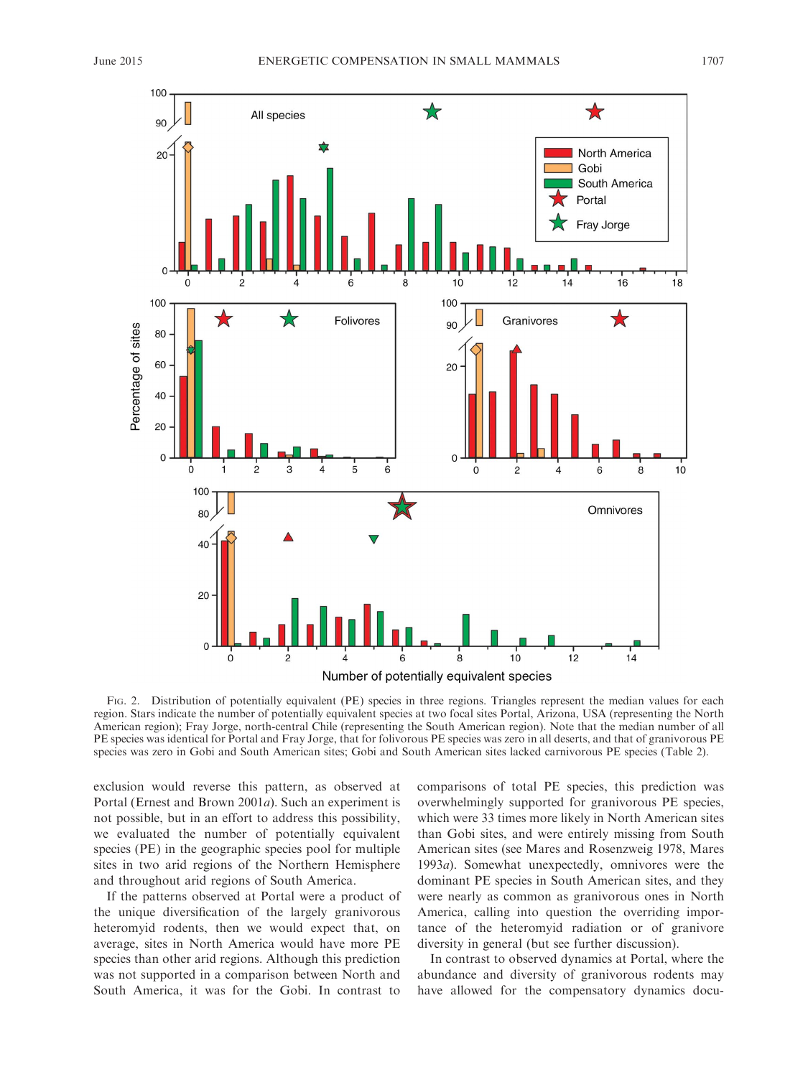

FIG. 2. Distribution of potentially equivalent (PE) species in three regions. Triangles represent the median values for each region. Stars indicate the number of potentially equivalent species at two focal sites Portal, Arizona, USA (representing the North American region); Fray Jorge, north-central Chile (representing the South American region). Note that the median number of all PE species was identical for Portal and Fray Jorge, that for folivorous PE species was zero in all deserts, and that of granivorous PE species was zero in Gobi and South American sites; Gobi and South American sites lacked carnivorous PE species (Table 2).

exclusion would reverse this pattern, as observed at Portal (Ernest and Brown 2001a). Such an experiment is not possible, but in an effort to address this possibility, we evaluated the number of potentially equivalent species (PE) in the geographic species pool for multiple sites in two arid regions of the Northern Hemisphere and throughout arid regions of South America.

If the patterns observed at Portal were a product of the unique diversification of the largely granivorous heteromyid rodents, then we would expect that, on average, sites in North America would have more PE species than other arid regions. Although this prediction was not supported in a comparison between North and South America, it was for the Gobi. In contrast to comparisons of total PE species, this prediction was overwhelmingly supported for granivorous PE species, which were 33 times more likely in North American sites than Gobi sites, and were entirely missing from South American sites (see Mares and Rosenzweig 1978, Mares 1993a). Somewhat unexpectedly, omnivores were the dominant PE species in South American sites, and they were nearly as common as granivorous ones in North America, calling into question the overriding importance of the heteromyid radiation or of granivore diversity in general (but see further discussion).

In contrast to observed dynamics at Portal, where the abundance and diversity of granivorous rodents may have allowed for the compensatory dynamics docu-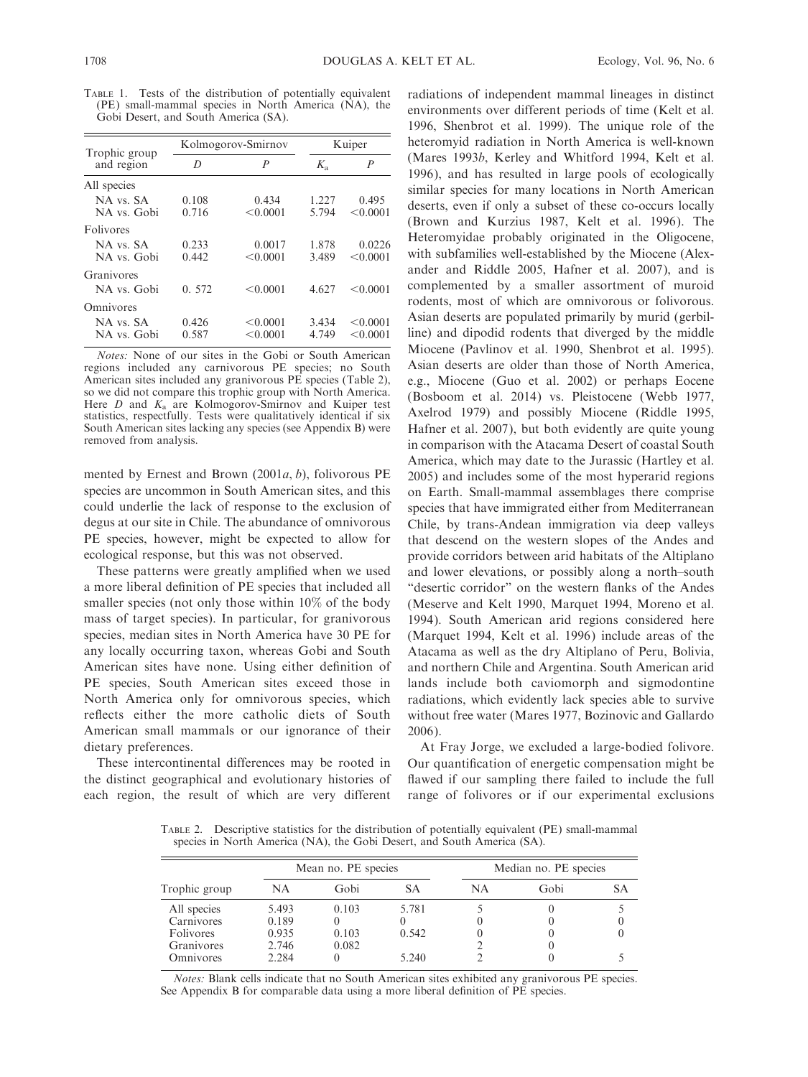TABLE 1. Tests of the distribution of potentially equivalent (PE) small-mammal species in North America (NA), the Gobi Desert, and South America (SA).

| Trophic group |       | Kolmogorov-Smirnov | Kuiper      |          |  |
|---------------|-------|--------------------|-------------|----------|--|
| and region    | D     | P                  | $K_{\rm a}$ | P        |  |
| All species   |       |                    |             |          |  |
| NA vs SA      | 0.108 | 0.434              | 1.227       | 0.495    |  |
| NA vs. Gobi   | 0.716 | < 0.0001           | 5.794       | < 0.0001 |  |
| Folivores     |       |                    |             |          |  |
| NA vs. SA     | 0.233 | 0.0017             | 1.878       | 0.0226   |  |
| NA vs. Gobi   | 0.442 | < 0.0001           | 3.489       | < 0.0001 |  |
| Granivores    |       |                    |             |          |  |
| NA vs. Gobi   | 0.572 | < 0.0001           | 4.627       | < 0.0001 |  |
| Omnivores     |       |                    |             |          |  |
| NA vs. SA     | 0.426 | < 0.0001           | 3.434       | < 0.0001 |  |
| NA vs. Gobi   | 0.587 | < 0.0001           | 4.749       | < 0.0001 |  |

Notes: None of our sites in the Gobi or South American regions included any carnivorous PE species; no South American sites included any granivorous PE species (Table 2), so we did not compare this trophic group with North America. Here  $D$  and  $K_a$  are Kolmogorov-Smirnov and Kuiper test statistics, respectfully. Tests were qualitatively identical if six South American sites lacking any species (see Appendix B) were removed from analysis.

mented by Ernest and Brown (2001 $a$ ,  $b$ ), folivorous PE species are uncommon in South American sites, and this could underlie the lack of response to the exclusion of degus at our site in Chile. The abundance of omnivorous PE species, however, might be expected to allow for ecological response, but this was not observed.

These patterns were greatly amplified when we used a more liberal definition of PE species that included all smaller species (not only those within 10% of the body mass of target species). In particular, for granivorous species, median sites in North America have 30 PE for any locally occurring taxon, whereas Gobi and South American sites have none. Using either definition of PE species, South American sites exceed those in North America only for omnivorous species, which reflects either the more catholic diets of South American small mammals or our ignorance of their dietary preferences.

These intercontinental differences may be rooted in the distinct geographical and evolutionary histories of each region, the result of which are very different

radiations of independent mammal lineages in distinct environments over different periods of time (Kelt et al. 1996, Shenbrot et al. 1999). The unique role of the heteromyid radiation in North America is well-known (Mares 1993b, Kerley and Whitford 1994, Kelt et al. 1996), and has resulted in large pools of ecologically similar species for many locations in North American deserts, even if only a subset of these co-occurs locally (Brown and Kurzius 1987, Kelt et al. 1996). The Heteromyidae probably originated in the Oligocene, with subfamilies well-established by the Miocene (Alexander and Riddle 2005, Hafner et al. 2007), and is complemented by a smaller assortment of muroid rodents, most of which are omnivorous or folivorous. Asian deserts are populated primarily by murid (gerbilline) and dipodid rodents that diverged by the middle Miocene (Pavlinov et al. 1990, Shenbrot et al. 1995). Asian deserts are older than those of North America, e.g., Miocene (Guo et al. 2002) or perhaps Eocene (Bosboom et al. 2014) vs. Pleistocene (Webb 1977, Axelrod 1979) and possibly Miocene (Riddle 1995, Hafner et al. 2007), but both evidently are quite young in comparison with the Atacama Desert of coastal South America, which may date to the Jurassic (Hartley et al. 2005) and includes some of the most hyperarid regions on Earth. Small-mammal assemblages there comprise species that have immigrated either from Mediterranean Chile, by trans-Andean immigration via deep valleys that descend on the western slopes of the Andes and provide corridors between arid habitats of the Altiplano and lower elevations, or possibly along a north–south "desertic corridor" on the western flanks of the Andes (Meserve and Kelt 1990, Marquet 1994, Moreno et al. 1994). South American arid regions considered here (Marquet 1994, Kelt et al. 1996) include areas of the Atacama as well as the dry Altiplano of Peru, Bolivia, and northern Chile and Argentina. South American arid lands include both caviomorph and sigmodontine radiations, which evidently lack species able to survive without free water (Mares 1977, Bozinovic and Gallardo 2006).

At Fray Jorge, we excluded a large-bodied folivore. Our quantification of energetic compensation might be flawed if our sampling there failed to include the full range of folivores or if our experimental exclusions

TABLE 2. Descriptive statistics for the distribution of potentially equivalent (PE) small-mammal species in North America (NA), the Gobi Desert, and South America (SA).

| Trophic group    | Mean no. PE species |       |       | Median no. PE species |      |    |
|------------------|---------------------|-------|-------|-----------------------|------|----|
|                  | <b>NA</b>           | Gobi  | SА    | NA                    | Gobi | SА |
| All species      | 5.493               | 0.103 | 5.781 |                       |      |    |
| Carnivores       | 0.189               |       |       |                       |      |    |
| Folivores        | 0.935               | 0.103 | 0.542 |                       |      |    |
| Granivores       | 2.746               | 0.082 |       |                       |      |    |
| <b>Omnivores</b> | 2.284               |       | 5.240 |                       |      |    |

Notes: Blank cells indicate that no South American sites exhibited any granivorous PE species. See Appendix B for comparable data using a more liberal definition of PE species.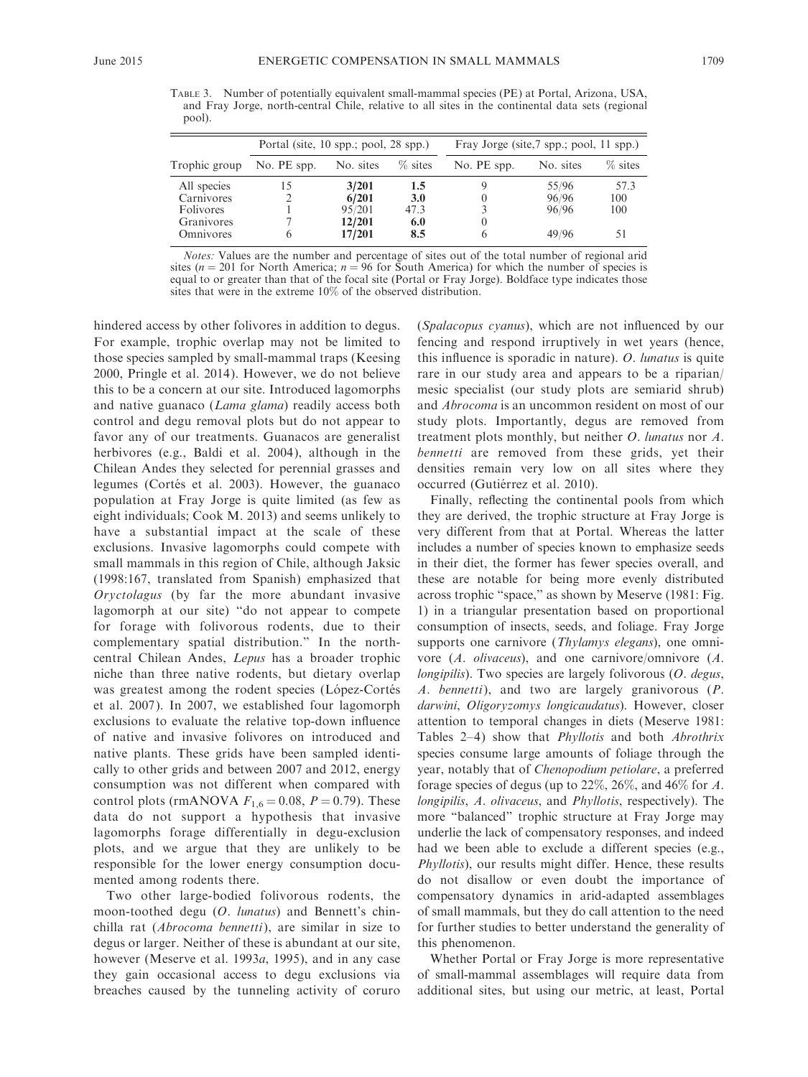TABLE 3. Number of potentially equivalent small-mammal species (PE) at Portal, Arizona, USA, and Fray Jorge, north-central Chile, relative to all sites in the continental data sets (regional pool).

|                  | Portal (site, $10$ spp.; pool, $28$ spp.) |           |            | Fray Jorge (site, 7 spp.; pool, 11 spp.) |           |           |
|------------------|-------------------------------------------|-----------|------------|------------------------------------------|-----------|-----------|
| Trophic group    | No. PE spp.                               | No. sites | % sites    | No. PE spp.                              | No. sites | $%$ sites |
| All species      | 15                                        | 3/201     | 1.5        |                                          | 55/96     | 57.3      |
| Carnivores       |                                           | 6/201     | <b>3.0</b> |                                          | 96/96     | 100       |
| <b>Folivores</b> |                                           | 95/201    | 47.3       |                                          | 96/96     | 100       |
| Granivores       |                                           | 12/201    | 6.0        |                                          |           |           |
| Omnivores        | 6                                         | 17/201    | 8.5        | <sub>()</sub>                            | 49/96     |           |

Notes: Values are the number and percentage of sites out of the total number of regional arid sites ( $n = 201$  for North America;  $n = 96$  for South America) for which the number of species is equal to or greater than that of the focal site (Portal or Fray Jorge). Boldface type indicates those sites that were in the extreme 10% of the observed distribution.

hindered access by other folivores in addition to degus. For example, trophic overlap may not be limited to those species sampled by small-mammal traps (Keesing 2000, Pringle et al. 2014). However, we do not believe this to be a concern at our site. Introduced lagomorphs and native guanaco (Lama glama) readily access both control and degu removal plots but do not appear to favor any of our treatments. Guanacos are generalist herbivores (e.g., Baldi et al. 2004), although in the Chilean Andes they selected for perennial grasses and legumes (Cortés et al. 2003). However, the guanaco population at Fray Jorge is quite limited (as few as eight individuals; Cook M. 2013) and seems unlikely to have a substantial impact at the scale of these exclusions. Invasive lagomorphs could compete with small mammals in this region of Chile, although Jaksic (1998:167, translated from Spanish) emphasized that Oryctolagus (by far the more abundant invasive lagomorph at our site) ''do not appear to compete for forage with folivorous rodents, due to their complementary spatial distribution.'' In the northcentral Chilean Andes, Lepus has a broader trophic niche than three native rodents, but dietary overlap was greatest among the rodent species (López-Cortés et al. 2007). In 2007, we established four lagomorph exclusions to evaluate the relative top-down influence of native and invasive folivores on introduced and native plants. These grids have been sampled identically to other grids and between 2007 and 2012, energy consumption was not different when compared with control plots (rmANOVA  $F_{1,6} = 0.08$ ,  $P = 0.79$ ). These data do not support a hypothesis that invasive lagomorphs forage differentially in degu-exclusion plots, and we argue that they are unlikely to be responsible for the lower energy consumption documented among rodents there.

Two other large-bodied folivorous rodents, the moon-toothed degu (O. lunatus) and Bennett's chinchilla rat (Abrocoma bennetti), are similar in size to degus or larger. Neither of these is abundant at our site, however (Meserve et al. 1993*a*, 1995), and in any case they gain occasional access to degu exclusions via breaches caused by the tunneling activity of coruro (Spalacopus cyanus), which are not influenced by our fencing and respond irruptively in wet years (hence, this influence is sporadic in nature). O. lunatus is quite rare in our study area and appears to be a riparian/ mesic specialist (our study plots are semiarid shrub) and Abrocoma is an uncommon resident on most of our study plots. Importantly, degus are removed from treatment plots monthly, but neither O. lunatus nor A. bennetti are removed from these grids, yet their densities remain very low on all sites where they occurred (Gutiérrez et al. 2010).

Finally, reflecting the continental pools from which they are derived, the trophic structure at Fray Jorge is very different from that at Portal. Whereas the latter includes a number of species known to emphasize seeds in their diet, the former has fewer species overall, and these are notable for being more evenly distributed across trophic ''space,'' as shown by Meserve (1981: Fig. 1) in a triangular presentation based on proportional consumption of insects, seeds, and foliage. Fray Jorge supports one carnivore (Thylamys elegans), one omnivore (A. olivaceus), and one carnivore/omnivore (A. longipilis). Two species are largely folivorous (O. degus, A. bennetti), and two are largely granivorous (P. darwini, Oligoryzomys longicaudatus). However, closer attention to temporal changes in diets (Meserve 1981: Tables 2–4) show that *Phyllotis* and both *Abrothrix* species consume large amounts of foliage through the year, notably that of Chenopodium petiolare, a preferred forage species of degus (up to 22%, 26%, and 46% for A. longipilis, A. olivaceus, and Phyllotis, respectively). The more ''balanced'' trophic structure at Fray Jorge may underlie the lack of compensatory responses, and indeed had we been able to exclude a different species (e.g., Phyllotis), our results might differ. Hence, these results do not disallow or even doubt the importance of compensatory dynamics in arid-adapted assemblages of small mammals, but they do call attention to the need for further studies to better understand the generality of this phenomenon.

Whether Portal or Fray Jorge is more representative of small-mammal assemblages will require data from additional sites, but using our metric, at least, Portal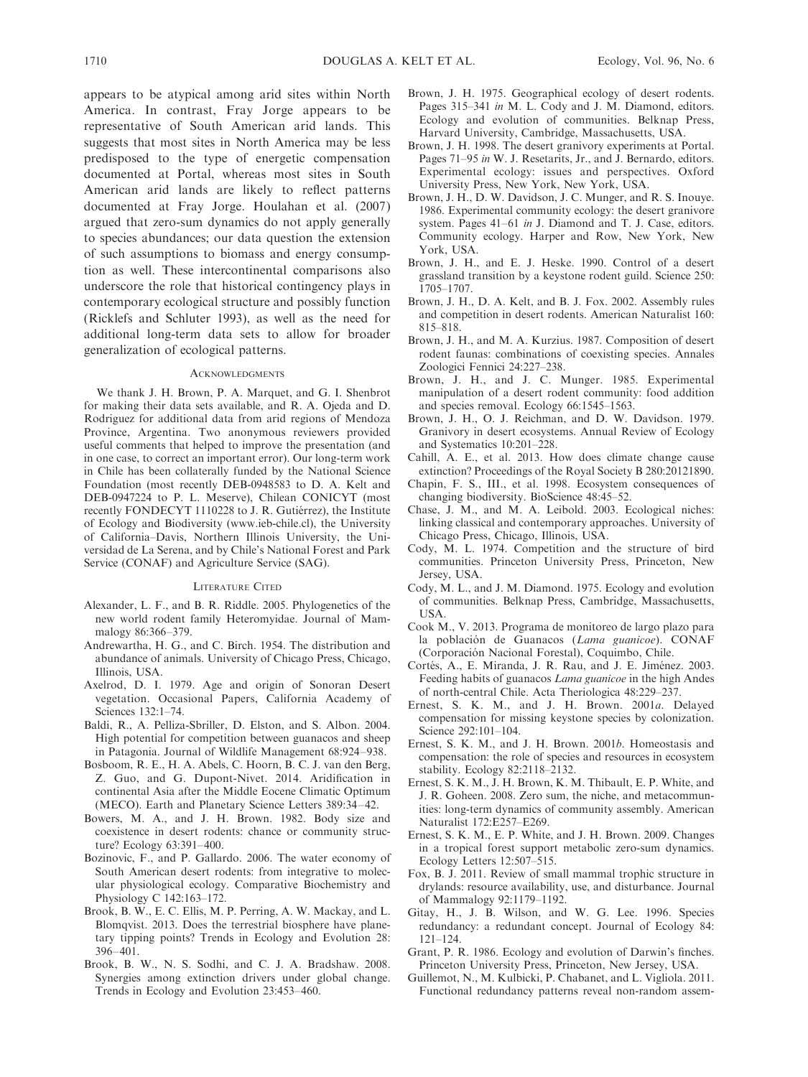appears to be atypical among arid sites within North America. In contrast, Fray Jorge appears to be representative of South American arid lands. This suggests that most sites in North America may be less predisposed to the type of energetic compensation documented at Portal, whereas most sites in South American arid lands are likely to reflect patterns documented at Fray Jorge. Houlahan et al. (2007) argued that zero-sum dynamics do not apply generally to species abundances; our data question the extension of such assumptions to biomass and energy consumption as well. These intercontinental comparisons also underscore the role that historical contingency plays in contemporary ecological structure and possibly function (Ricklefs and Schluter 1993), as well as the need for additional long-term data sets to allow for broader generalization of ecological patterns.

### **ACKNOWLEDGMENTS**

We thank J. H. Brown, P. A. Marquet, and G. I. Shenbrot for making their data sets available, and R. A. Ojeda and D. Rodriguez for additional data from arid regions of Mendoza Province, Argentina. Two anonymous reviewers provided useful comments that helped to improve the presentation (and in one case, to correct an important error). Our long-term work in Chile has been collaterally funded by the National Science Foundation (most recently DEB-0948583 to D. A. Kelt and DEB-0947224 to P. L. Meserve), Chilean CONICYT (most recently FONDECYT 1110228 to J. R. Gutiérrez), the Institute of Ecology and Biodiversity (www.ieb-chile.cl), the University of California–Davis, Northern Illinois University, the Universidad de La Serena, and by Chile's National Forest and Park Service (CONAF) and Agriculture Service (SAG).

### LITERATURE CITED

- Alexander, L. F., and B. R. Riddle. 2005. Phylogenetics of the new world rodent family Heteromyidae. Journal of Mammalogy 86:366–379.
- Andrewartha, H. G., and C. Birch. 1954. The distribution and abundance of animals. University of Chicago Press, Chicago, Illinois, USA.
- Axelrod, D. I. 1979. Age and origin of Sonoran Desert vegetation. Occasional Papers, California Academy of Sciences 132:1–74.
- Baldi, R., A. Pelliza-Sbriller, D. Elston, and S. Albon. 2004. High potential for competition between guanacos and sheep in Patagonia. Journal of Wildlife Management 68:924–938.
- Bosboom, R. E., H. A. Abels, C. Hoorn, B. C. J. van den Berg, Z. Guo, and G. Dupont-Nivet. 2014. Aridification in continental Asia after the Middle Eocene Climatic Optimum (MECO). Earth and Planetary Science Letters 389:34–42.
- Bowers, M. A., and J. H. Brown. 1982. Body size and coexistence in desert rodents: chance or community structure? Ecology 63:391–400.
- Bozinovic, F., and P. Gallardo. 2006. The water economy of South American desert rodents: from integrative to molecular physiological ecology. Comparative Biochemistry and Physiology C 142:163–172.
- Brook, B. W., E. C. Ellis, M. P. Perring, A. W. Mackay, and L. Blomqvist. 2013. Does the terrestrial biosphere have planetary tipping points? Trends in Ecology and Evolution 28: 396–401.
- Brook, B. W., N. S. Sodhi, and C. J. A. Bradshaw. 2008. Synergies among extinction drivers under global change. Trends in Ecology and Evolution 23:453–460.
- Brown, J. H. 1975. Geographical ecology of desert rodents. Pages 315–341 in M. L. Cody and J. M. Diamond, editors. Ecology and evolution of communities. Belknap Press, Harvard University, Cambridge, Massachusetts, USA.
- Brown, J. H. 1998. The desert granivory experiments at Portal. Pages 71–95 in W. J. Resetarits, Jr., and J. Bernardo, editors. Experimental ecology: issues and perspectives. Oxford University Press, New York, New York, USA.
- Brown, J. H., D. W. Davidson, J. C. Munger, and R. S. Inouye. 1986. Experimental community ecology: the desert granivore system. Pages 41–61 in J. Diamond and T. J. Case, editors. Community ecology. Harper and Row, New York, New York, USA.
- Brown, J. H., and E. J. Heske. 1990. Control of a desert grassland transition by a keystone rodent guild. Science 250: 1705–1707.
- Brown, J. H., D. A. Kelt, and B. J. Fox. 2002. Assembly rules and competition in desert rodents. American Naturalist 160: 815–818.
- Brown, J. H., and M. A. Kurzius. 1987. Composition of desert rodent faunas: combinations of coexisting species. Annales Zoologici Fennici 24:227–238.
- Brown, J. H., and J. C. Munger. 1985. Experimental manipulation of a desert rodent community: food addition and species removal. Ecology 66:1545–1563.
- Brown, J. H., O. J. Reichman, and D. W. Davidson. 1979. Granivory in desert ecosystems. Annual Review of Ecology and Systematics 10:201–228.
- Cahill, A. E., et al. 2013. How does climate change cause extinction? Proceedings of the Royal Society B 280:20121890.
- Chapin, F. S., III., et al. 1998. Ecosystem consequences of changing biodiversity. BioScience 48:45–52.
- Chase, J. M., and M. A. Leibold. 2003. Ecological niches: linking classical and contemporary approaches. University of Chicago Press, Chicago, Illinois, USA.
- Cody, M. L. 1974. Competition and the structure of bird communities. Princeton University Press, Princeton, New Jersey, USA.
- Cody, M. L., and J. M. Diamond. 1975. Ecology and evolution of communities. Belknap Press, Cambridge, Massachusetts, USA.
- Cook M., V. 2013. Programa de monitoreo de largo plazo para la población de Guanacos (Lama guanicoe). CONAF (Corporación Nacional Forestal), Coquimbo, Chile.
- Cortés, A., E. Miranda, J. R. Rau, and J. E. Jiménez. 2003. Feeding habits of guanacos Lama guanicoe in the high Andes of north-central Chile. Acta Theriologica 48:229–237.
- Ernest, S. K. M., and J. H. Brown. 2001a. Delayed compensation for missing keystone species by colonization. Science 292:101–104.
- Ernest, S. K. M., and J. H. Brown. 2001b. Homeostasis and compensation: the role of species and resources in ecosystem stability. Ecology 82:2118–2132.
- Ernest, S. K. M., J. H. Brown, K. M. Thibault, E. P. White, and J. R. Goheen. 2008. Zero sum, the niche, and metacommunities: long-term dynamics of community assembly. American Naturalist 172:E257–E269.
- Ernest, S. K. M., E. P. White, and J. H. Brown. 2009. Changes in a tropical forest support metabolic zero-sum dynamics. Ecology Letters 12:507–515.
- Fox, B. J. 2011. Review of small mammal trophic structure in drylands: resource availability, use, and disturbance. Journal of Mammalogy 92:1179–1192.
- Gitay, H., J. B. Wilson, and W. G. Lee. 1996. Species redundancy: a redundant concept. Journal of Ecology 84: 121–124.
- Grant, P. R. 1986. Ecology and evolution of Darwin's finches. Princeton University Press, Princeton, New Jersey, USA.
- Guillemot, N., M. Kulbicki, P. Chabanet, and L. Vigliola. 2011. Functional redundancy patterns reveal non-random assem-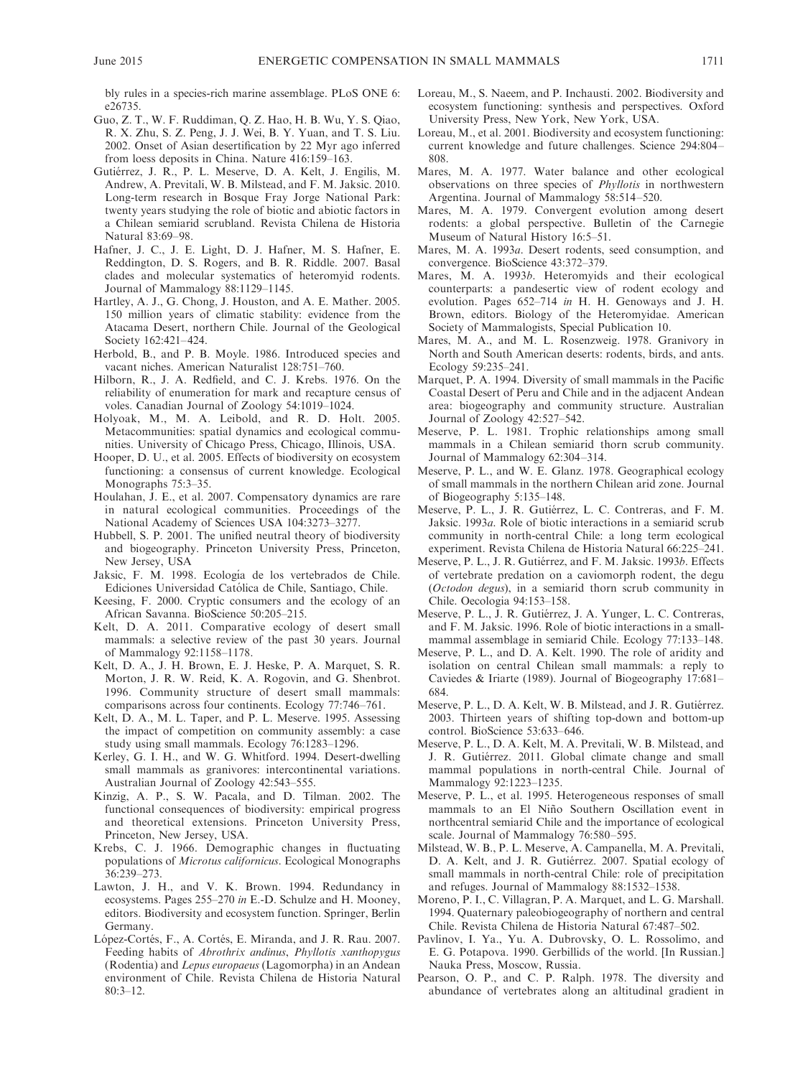bly rules in a species-rich marine assemblage. PLoS ONE 6: e26735.

- Guo, Z. T., W. F. Ruddiman, Q. Z. Hao, H. B. Wu, Y. S. Qiao, R. X. Zhu, S. Z. Peng, J. J. Wei, B. Y. Yuan, and T. S. Liu. 2002. Onset of Asian desertification by 22 Myr ago inferred from loess deposits in China. Nature 416:159–163.
- Gutiérrez, J. R., P. L. Meserve, D. A. Kelt, J. Engilis, M. Andrew, A. Previtali, W. B. Milstead, and F. M. Jaksic. 2010. Long-term research in Bosque Fray Jorge National Park: twenty years studying the role of biotic and abiotic factors in a Chilean semiarid scrubland. Revista Chilena de Historia Natural 83:69–98.
- Hafner, J. C., J. E. Light, D. J. Hafner, M. S. Hafner, E. Reddington, D. S. Rogers, and B. R. Riddle. 2007. Basal clades and molecular systematics of heteromyid rodents. Journal of Mammalogy 88:1129–1145.
- Hartley, A. J., G. Chong, J. Houston, and A. E. Mather. 2005. 150 million years of climatic stability: evidence from the Atacama Desert, northern Chile. Journal of the Geological Society 162:421–424.
- Herbold, B., and P. B. Moyle. 1986. Introduced species and vacant niches. American Naturalist 128:751–760.
- Hilborn, R., J. A. Redfield, and C. J. Krebs. 1976. On the reliability of enumeration for mark and recapture census of voles. Canadian Journal of Zoology 54:1019–1024.
- Holyoak, M., M. A. Leibold, and R. D. Holt. 2005. Metacommunities: spatial dynamics and ecological communities. University of Chicago Press, Chicago, Illinois, USA.
- Hooper, D. U., et al. 2005. Effects of biodiversity on ecosystem functioning: a consensus of current knowledge. Ecological Monographs 75:3–35.
- Houlahan, J. E., et al. 2007. Compensatory dynamics are rare in natural ecological communities. Proceedings of the National Academy of Sciences USA 104:3273–3277.
- Hubbell, S. P. 2001. The unified neutral theory of biodiversity and biogeography. Princeton University Press, Princeton, New Jersey, USA
- Jaksic, F. M. 1998. Ecología de los vertebrados de Chile. Ediciones Universidad Católica de Chile, Santiago, Chile.
- Keesing, F. 2000. Cryptic consumers and the ecology of an African Savanna. BioScience 50:205–215.
- Kelt, D. A. 2011. Comparative ecology of desert small mammals: a selective review of the past 30 years. Journal of Mammalogy 92:1158–1178.
- Kelt, D. A., J. H. Brown, E. J. Heske, P. A. Marquet, S. R. Morton, J. R. W. Reid, K. A. Rogovin, and G. Shenbrot. 1996. Community structure of desert small mammals: comparisons across four continents. Ecology 77:746–761.
- Kelt, D. A., M. L. Taper, and P. L. Meserve. 1995. Assessing the impact of competition on community assembly: a case study using small mammals. Ecology 76:1283–1296.
- Kerley, G. I. H., and W. G. Whitford. 1994. Desert-dwelling small mammals as granivores: intercontinental variations. Australian Journal of Zoology 42:543–555.
- Kinzig, A. P., S. W. Pacala, and D. Tilman. 2002. The functional consequences of biodiversity: empirical progress and theoretical extensions. Princeton University Press, Princeton, New Jersey, USA.
- Krebs, C. J. 1966. Demographic changes in fluctuating populations of Microtus californicus. Ecological Monographs 36:239–273.
- Lawton, J. H., and V. K. Brown. 1994. Redundancy in ecosystems. Pages 255–270 in E.-D. Schulze and H. Mooney, editors. Biodiversity and ecosystem function. Springer, Berlin Germany.
- López-Cortés, F., A. Cortés, E. Miranda, and J. R. Rau. 2007. Feeding habits of Abrothrix andinus, Phyllotis xanthopygus (Rodentia) and Lepus europaeus (Lagomorpha) in an Andean environment of Chile. Revista Chilena de Historia Natural 80:3–12.
- Loreau, M., S. Naeem, and P. Inchausti. 2002. Biodiversity and ecosystem functioning: synthesis and perspectives. Oxford University Press, New York, New York, USA.
- Loreau, M., et al. 2001. Biodiversity and ecosystem functioning: current knowledge and future challenges. Science 294:804– 808.
- Mares, M. A. 1977. Water balance and other ecological observations on three species of Phyllotis in northwestern Argentina. Journal of Mammalogy 58:514–520.
- Mares, M. A. 1979. Convergent evolution among desert rodents: a global perspective. Bulletin of the Carnegie Museum of Natural History 16:5–51.
- Mares, M. A. 1993a. Desert rodents, seed consumption, and convergence. BioScience 43:372–379.
- Mares, M. A. 1993b. Heteromyids and their ecological counterparts: a pandesertic view of rodent ecology and evolution. Pages 652–714 in H. H. Genoways and J. H. Brown, editors. Biology of the Heteromyidae. American Society of Mammalogists, Special Publication 10.
- Mares, M. A., and M. L. Rosenzweig. 1978. Granivory in North and South American deserts: rodents, birds, and ants. Ecology 59:235–241.
- Marquet, P. A. 1994. Diversity of small mammals in the Pacific Coastal Desert of Peru and Chile and in the adjacent Andean area: biogeography and community structure. Australian Journal of Zoology 42:527–542.
- Meserve, P. L. 1981. Trophic relationships among small mammals in a Chilean semiarid thorn scrub community. Journal of Mammalogy 62:304–314.
- Meserve, P. L., and W. E. Glanz. 1978. Geographical ecology of small mammals in the northern Chilean arid zone. Journal of Biogeography 5:135–148.
- Meserve, P. L., J. R. Gutiérrez, L. C. Contreras, and F. M. Jaksic. 1993a. Role of biotic interactions in a semiarid scrub community in north-central Chile: a long term ecological experiment. Revista Chilena de Historia Natural 66:225–241.
- Meserve, P. L., J. R. Gutiérrez, and F. M. Jaksic. 1993b. Effects of vertebrate predation on a caviomorph rodent, the degu (Octodon degus), in a semiarid thorn scrub community in Chile. Oecologia 94:153–158.
- Meserve, P. L., J. R. Gutiérrez, J. A. Yunger, L. C. Contreras, and F. M. Jaksic. 1996. Role of biotic interactions in a smallmammal assemblage in semiarid Chile. Ecology 77:133–148.
- Meserve, P. L., and D. A. Kelt. 1990. The role of aridity and isolation on central Chilean small mammals: a reply to Caviedes & Iriarte (1989). Journal of Biogeography 17:681– 684.
- Meserve, P. L., D. A. Kelt, W. B. Milstead, and J. R. Gutiérrez. 2003. Thirteen years of shifting top-down and bottom-up control. BioScience 53:633–646.
- Meserve, P. L., D. A. Kelt, M. A. Previtali, W. B. Milstead, and J. R. Gutiérrez. 2011. Global climate change and small mammal populations in north-central Chile. Journal of Mammalogy 92:1223–1235.
- Meserve, P. L., et al. 1995. Heterogeneous responses of small mammals to an El Niño Southern Oscillation event in northcentral semiarid Chile and the importance of ecological scale. Journal of Mammalogy 76:580–595.
- Milstead, W. B., P. L. Meserve, A. Campanella, M. A. Previtali, D. A. Kelt, and J. R. Gutiérrez. 2007. Spatial ecology of small mammals in north-central Chile: role of precipitation and refuges. Journal of Mammalogy 88:1532–1538.
- Moreno, P. I., C. Villagran, P. A. Marquet, and L. G. Marshall. 1994. Quaternary paleobiogeography of northern and central Chile. Revista Chilena de Historia Natural 67:487–502.
- Pavlinov, I. Ya., Yu. A. Dubrovsky, O. L. Rossolimo, and E. G. Potapova. 1990. Gerbillids of the world. [In Russian.] Nauka Press, Moscow, Russia.
- Pearson, O. P., and C. P. Ralph. 1978. The diversity and abundance of vertebrates along an altitudinal gradient in